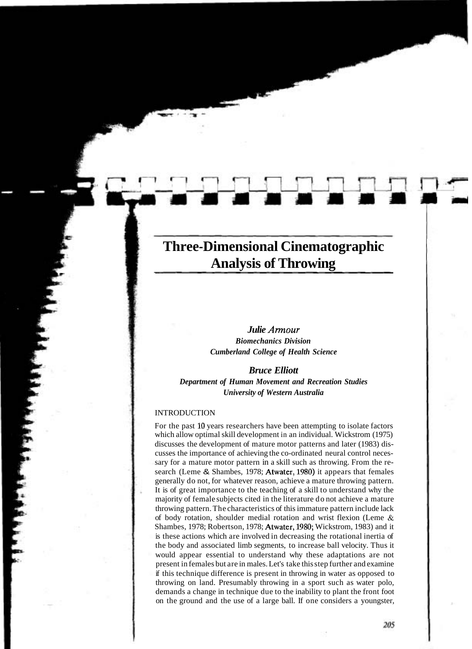# **Three-Dimensional Cinematographic Analysis of Throwing**

# *Julie Arrnour Biomechanics Division Cumberland College of Health Science*

# *Bruce Elliott Department of Human Movement and Recreation Studies University of Western Australia*

#### INTRODUCTION

For the past 10 years researchers have been attempting to isolate factors which allow optimal skill development in an individual. Wickstrom (1975) discusses the development of mature motor patterns and later (1983) discusses the importance of achieving the co-ordinated neural control necessary for a mature motor pattern in a skill such as throwing. From the research (Leme & Shambes, 1978; Atwater, 1980) it appears that females generally do not, for whatever reason, achieve a mature throwing pattern. It is of great importance to the teaching of a skill to understand why the majority of female subjects cited in the literature do not achieve a mature throwing pattern. The characteristics of this immature pattern include lack of body rotation, shoulder medial rotation and wrist flexion (Leme & Shambes, 1978; Robertson, 1978; Atwater, 1980; Wickstrom, 1983) and it is these actions which are involved in decreasing the rotational inertia of the body and associated limb segments, to increase ball velocity. Thus it would appear essential to understand why these adaptations are not present in females but are in males. Let's take this step further and examine if this technique difference is present in throwing in water as opposed to throwing on land. Presumably throwing in a sport such as water polo, demands a change in technique due to the inability to plant the front foot on the ground and the use of a large ball. If one considers a youngster,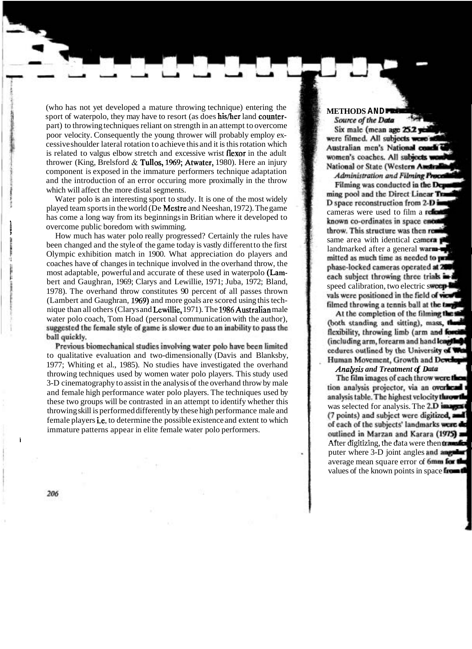(who has not yet developed a mature throwing technique) entering the sport of waterpolo, they may have to resort (as does his/her land counterpart) to throwing techniques reliant on strength in an attempt to overcome poor velocity. Consequently the young thrower will probably employ excessive shoulder lateral rotation to achieve this and it is this rotation which is related to valgus elbow stretch and excessive wrist fIexor in the adult thrower (King, Brelsford & Tullos, 1969; Atwater, 1980). Here an injury component is exposed in the immature performers technique adaptation and the introduction of an error occuring more proximally in the throw which will affect the more distal segments.

Water polo is an interesting sport to study. It is one of the most widely played team sports in the world (De Mestre and Neeshan, 1972). The game has come a long way from its beginnings in Britian where it developed to overcome public boredom with swimming.

How much has water polo really progressed? Certainly the rules have<br>been changed and the style of the game today is vastly different to the first<br>Olympic exhibition match in 1900. What appreciation do players and coaches have of changes in technique involved in the overhand throw, the most adaptable, powerful and accurate of these used in waterpolo (Lam-<br>bert and Gaughran, 1969; Clarys and Lewillie, 1971; Juba, 1972; Bland, 1978). The overhand throw constitutes 90 percent of all passes thrown (Lambert and Gaughran, 1969) and more goals are scored using this technique than all others (Clarys and Lewillie, 1971). The 1986Australian male water polo coach, Tom Hoad (personal communication with the author), suggested the female style of game is slower due to an inability to pass the ball quickly.

Previous biomechanical studies involving water polo have been limited to qualitative evaluation and two-dimensionally (Davis and Blanksby, 1977; Whiting et al., 1985). No studies have investigated the overhand throwing techniques used by women water polo players. This study used 3-D cinematography to assist in the analysis of the overhand throw by male and female high performance water polo players. The techniques used by these two groups will be contrasted in an attempt to identify whether this throwing skill is performed differently by these high performance male and female players *i.e.* to determine the possible existence and extent to which immature patterns appear in elite female water polo performers.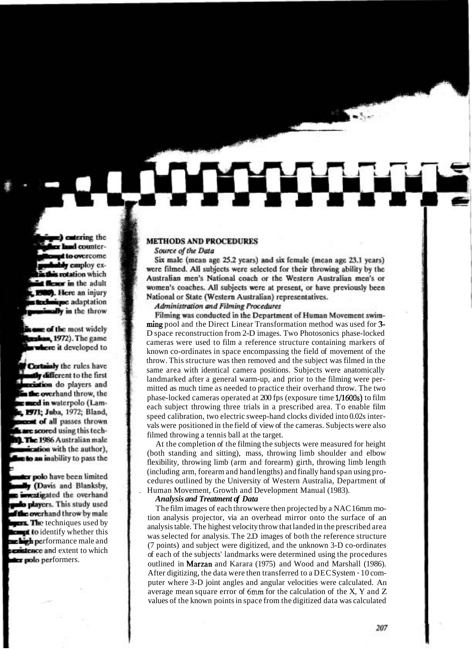#### **METHODS AND PROCEDURES**

#### Source of the Data

Six male (mean age 25.2 years) and six female (mean age 23.1 years) were filmed. All subjects were selected for their throwing ability by the Australian men's National coach or the Western Australian men's or women's coaches. All subjects were at present, or have previously been National or State (Western Australian) representatives.

## Administration and Filming Procedures

Filming was conducted in the Department of Human Movement swimming pool and the Direct Linear Transformation method was used for 3- D space reconstruction from 2-D images. Two Photosonics phase-locked cameras were used to film a reference structure containing markers of known co-ordinates in space encompassing the field of movement of the throw. This structure was then removed and the subject was filmed in the same area with identical camera positions. Subjects were anatomically landmarked after a general warm-up, and prior to the filming were permitted as much time as needed to practice their overhand throw. The two phase-locked cameras operated at 200 fps (exposure time 1/1600s) to film each subject throwing three trials in a prescribed area. To enable film speed calibration, two electric sweep-hand clocks divided into 0.02s intervals were positioned in the field of view of the cameras. Subjects were also filmed throwing a tennis ball at the target.

At the completion of the filming the subjects were measured for height (both standing and sitting), mass, throwing limb shoulder and elbow flexibility, throwing limb (arm and forearm) girth, throwing limb length (including arm, forearm and hand lengths) and finally hand span using procedures outlined by the University of Western Australia, Department of . Human Movement, Growth and Development Manual (1983).

### *Analysis and Treatment of Data*

The film images of each throwwere then projected by a NAC 16mm motion analysis projector, via an overhead mirror onto the surface of an analysis table. The highest velocity throw that landed in the prescribed area was selected for analysis. The 2.D images of both the reference structure (7 points) and subject were digitized, and the unknown 3-D co-ordinates of each of the subjects' landmarks were determined using the procedures outlined in Marzan and Karara (1975) and Wood and Marshall (1986). After digitizing, the data were then transferred to a DEC System - 10 computer where 3-D joint angles and angular velocities were calculated. An average mean square error of **6mm** for the calculation of the X, Y and Z values of the known points in space from the digitized data was calculated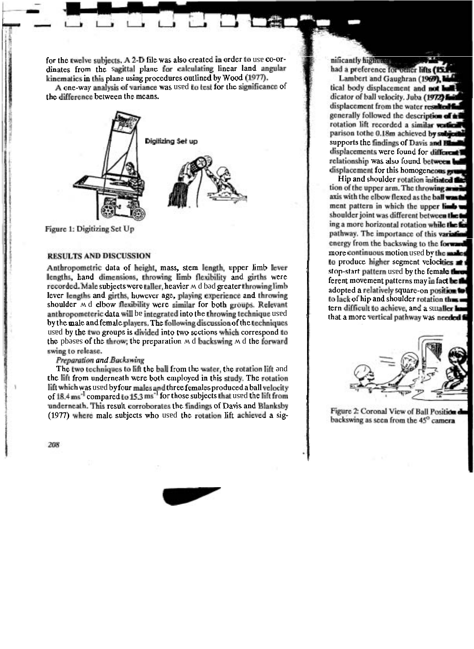kinematics in this plane using procedures outlined by Wood  $(1977)$ . dinates from the sagittal plane for calculating linear land angular for the twelve subjects. A 2-D file was also created in order to use co-or-

the difference between the means. A one-way analysis of variance was used to test for the significance of



Figure 1: Digitizing Set Up

#### **RESULTS AND DISCUSSION**

swing to release. the pbeses of the throw, the preparation  $\mu$  d backswing  $\mu$  d the forward used by the two groups is divided into two sections which correspond to by the male and female players. The following discussion of the techniques anthropometeric data will be integrated into the throwing technique used shoulder  $\overline{M}$ d elbow flexibility were similar for both groups. Relevant lever lengths and girths, however age, playing experience and throwing recorded. Male subjects were taller, heavier  $\wedge$  d bod greater throwing limb lengths, hand dimensions, throwing limb flexibility and girths were Anthropometric data of height, mass, stem length, upper limb lever

### Preparation and Backswing

(1977) where male subjects who used the rotation lift achieved a sigunderneath. This result corroborates the findings of Davis and Blanksby of 18.4 ms<sup>-1</sup> compared to 15.3 ms<sup>-1</sup> for those subjects that used the lift from lift which was used by four males and three females produced a ball velocity the lift from underneath were both employed in this study. The rotation The two techniques to lift the ball from the water, the rotation lift ond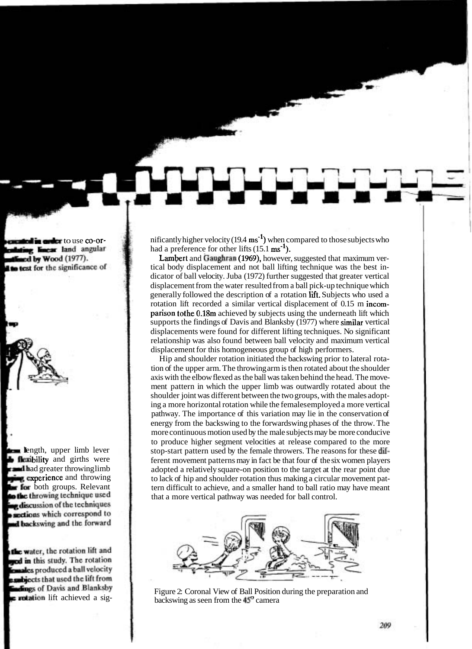nificantly higher velocity (19.4  $\text{ms}^{-1}$ ) when compared to those subjects who had a preference for other lifts  $(15.1 \text{ ms}^{-1})$ .

Lambert and Gaughran (1969), however, suggested that maximum vertical body displacement and not ball lifting technique was the best indicator of ball velocity. Juba (1972) further suggested that greater vertical displacement from the water resulted from a ball pick-up technique which generally followed the description of a rotation lit. Subjects who used a rotation lift recorded a similar vertical displacement of 0.15 m incomparison tothe 0.18m achieved by subjects using the underneath lift which supports the findings of Davis and Blanksby (1977) where similar vertical displacements were found for different lifting techniques. No significant relationship was also found between ball velocity and maximum vertical displacement for this homogeneous group of high performers.

Hip and shoulder rotation initiated the backswing prior to lateral rotation of the upper arm. The throwing arm is then rotated about the shoulder axis with the elbow flexed as the ball was taken behind the head. The movement pattern in which the upper limb was outwardly rotated about the shoulder joint was different between the two groups, with the males adopting a more horizontal rotation while the females employed a more vertical pathway. The importance of this variation may lie in the conservation of energy from the backswing to the forwardswing phases of the throw. The more continuous motion used by the male subjects may be more conducive to produce higher segment velocities at release compared to the more stop-start pattern used by the female throwers. The reasons for these different movement patterns may in fact be that four of the six women players adopted a relatively square-on position to the target at the rear point due to lack of hip and shoulder rotation thus making a circular movement pattern difficult to achieve, and a smaller hand to ball ratio may have meant that a more vertical pathway was needed for ball control.



Figure 2: Coronal View of Ball Position during the preparation and backswing as seen from the  $45^\circ$  camera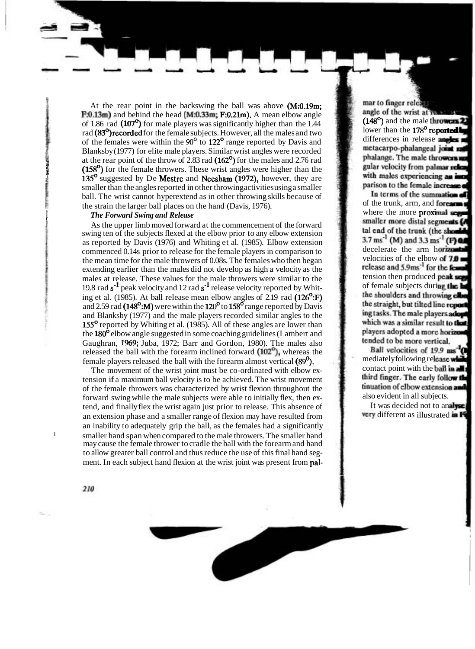At the rear point in the backswing the ball was above (M:0.19m:  $F:0.13<sub>m</sub>$  and behind the head (M:0.33 $<sub>m</sub>$ ; F:0.21 $<sub>m</sub>$ ). A mean elbow angle</sub></sub> of 1.86 rad  $(107^{\circ})$  for male players was significantly higher than the 1.44 rad (83<sup>°</sup>)recorded for the female subjects. However, all the males and two of the females were within the **90'** to 122' range reported by Davis and Blanksby (1977) for elite male players. Similar wrist angles were recorded at the rear point of the throw of  $2.83$  rad  $(162^{\circ})$  for the males and  $2.76$  rad  $(158<sup>o</sup>)$  for the female throwers. These wrist angles were higher than the  $135^{\circ}$  suggested by De Mestre and Neesham (1972), however, they are smaller than the angles reported in other throwing activities using a smaller ball. The wrist cannot hyperextend as in other throwing skills because of the strain the larger ball places on the hand (Davis, 1976).

## **I** *The Forward Swing and Release*

**<sup>E</sup>**As the upper limb moved forward at the commencement of the forward swing ten of the subjects flexed at the elbow prior to any elbow extension as reported by Davis (1976) and Whiting et al. (1985). Elbow extension commenced 0.14s prior to release for the female players in comparison to the mean time for the male throwers of 0.08s. The females who then began extending earlier than the males did not develop as high a velocity as the males at release. These values for the male throwers were similar to the 19.8 rad  $s^{-1}$  peak velocity and 12 rad  $s^{-1}$  release velocity reported by Whiting et al. (1985). At ball release mean elbow angles of  $2.19$  rad (126<sup>o</sup>:F) and 2.59 rad (148<sup>o</sup>:M) were within the 120<sup>o</sup> to 158<sup>o</sup> range reported by Davis and Blanksby (1977) and the male players recorded similar angles to the 155<sup>°</sup> reported by Whiting et al. (1985). All of these angles are lower than the 180<sup>0</sup> elbow angle suggested in some coaching guidelines (Lambert and Gaughran, 1969; Juba, 1972; Barr and Gordon, 1980). The males also released the ball with the forearm inclined forward (102'), whereas the female players released the ball with the forearm almost vertical  $(89^0)$ .

The movement of the wrist joint must be co-ordinated with elbow extension if a maximum ball velocity is to be achieved. The wrist movement of the female throwers was characterized by wrist flexion throughout the forward swing while the male subjects were able to initially flex, then extend, and finally flex the wrist again just prior to release. This absence of an extension phase and a smaller range of flexion may have resulted from an inability to adequately grip the ball, as the females had a significantly I smaller hand span when compared to the male throwers. The smaller hand may cause the female thrower to cradle the ball with the forearm and hand to allow greater ball control and thus reduce the use of this final hand segment. In each subject hand flexion at the wrist joint was present from **pal-**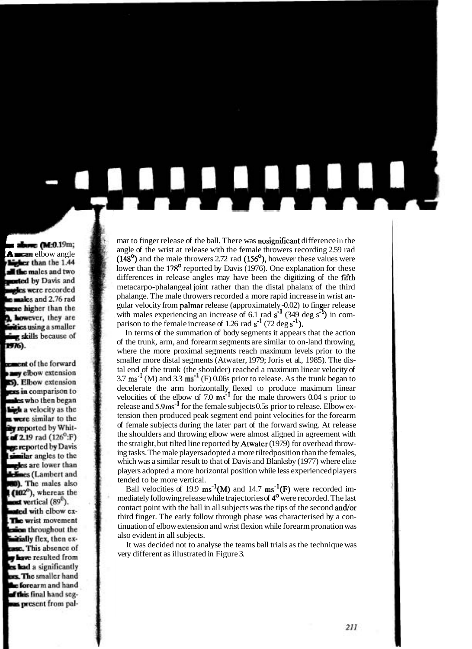mar to finger release of the ball. There was nosignificant difference in the angle of the wrist at release with the female throwers recording 2.59 rad  $(148^{\circ})$  and the male throwers 2.72 rad  $(156^{\circ})$ , however these values were lower than the 178<sup>°</sup> reported by Davis (1976). One explanation for these differences in release angles may have been the digitizing of the fifth metacarpo-phalangeal joint rather than the distal phalanx of the third phalange. The male throwers recorded a more rapid increase in wrist angular velocity from **palmar** release (approximately -0.02) to finger release with males experiencing an increase of  $6.1$  rad s<sup>-1</sup> (349 deg s<sup>-1</sup>) in comparison to the female increase of 1.26 rad  $s^{-1}$  (72 deg  $s^{-1}$ ).

In terms of the summation of body segments it appears that the action of the trunk, arm, and forearm segments are similar to on-land throwing, where the more proximal segments reach maximum levels prior to the smaller more distal segments (Atwater, 1979; Joris et al., 1985). The distal end of the trunk (the shoulder) reached a maximum linear velocity of  $3.7 \text{ ms}^{-1}$  (M) and  $3.3 \text{ ms}^{-1}$  (F) 0.06s prior to release. As the trunk began to decelerate the arm horizontally flexed to produce maximum linear velocities of the elbow of  $7.0 \text{ ms}^{-1}$  for the male throwers  $0.04 \text{ s}$  prior to release and  $5.9 \text{ms}^{-1}$  for the female subjects 0.5s prior to release. Elbow extension then produced peak segment end point velocities for the forearm of female subjects during the later part of the forward swing. At release the shoulders and throwing elbow were almost aligned in agreement with the straight, but tilted line reported by Atwater (1979) for overhead throwing tasks. The male players adopted a more tiltedposition than the females, which was a similar result to that of Davis and Blanksby (1977) where elite players adopted a more horizontal position while less experienced players tended to be more vertical.

Ball velocities of 19.9 ms<sup>-1</sup>(M) and 14.7 ms<sup>-1</sup>(F) were recorded immediately following release while trajectories of 4<sup>°</sup> were recorded. The last contact point with the ball in all subjects was the tips of the second and/or third finger. The early follow through phase was characterised by a continuation of elbow extension and wrist flexion while forearm pronation was also evident in all subjects.

It was decided not to analyse the teams ball trials as the technique was very different as illustrated in Figure 3.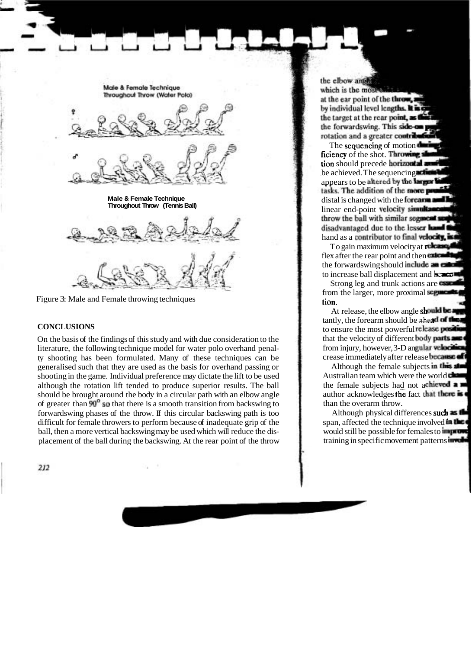

Figure 3: Male and Female throwing techniques

## **CONCLUSIONS**

On the basis of the findings of this study and with due consideration to the literature, the following technique model for water polo overhand penalty shooting has been formulated. Many of these techniques can be generalised such that they are used as the basis for overhand passing or shooting in the game. Individual preference may dictate the lift to be used although the rotation lift tended to produce superior results. The ball should be brought around the body in a circular path with an elbow angle of greater than  $90^{\circ}$  so that there is a smooth transition from backswing to forwardswing phases of the throw. If this circular backswing path is too difficult for female throwers to perform because of inadequate grip of the ball, then a more vertical backswing may be used which will reduce the displacement of the ball during the backswing. At the rear point of the throw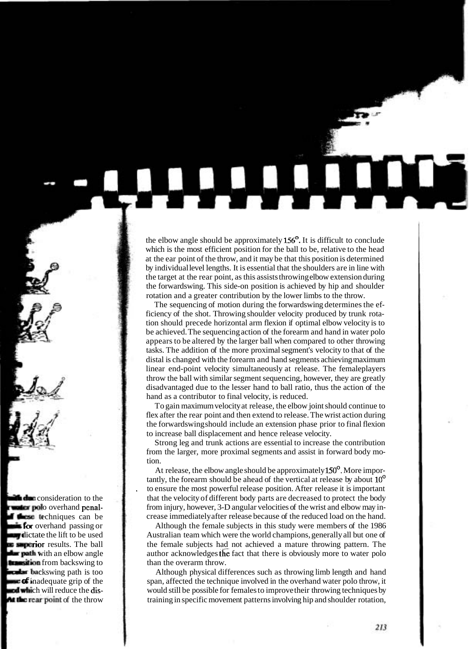the elbow angle should be approximately  $156^{\circ}$ . It is difficult to conclude which is the most efficient position for the ball to be, relative to the head at the ear point of the throw, and it may be that this position is determined by individual level lengths. It is essential that the shoulders are in line with the target at the rear point, as this assists throwing elbow extension during the forwardswing. This side-on position is achieved by hip and shoulder rotation and a greater contribution by the lower limbs to the throw.

The sequencing of motion during the forwardswing determines the efficiency of the shot. Throwing shoulder velocity produced by trunk rotation should precede horizontal arm flexion if optimal elbow velocity is to be achieved. The sequencing action of the forearm and hand in water polo appears to be altered by the larger ball when compared to other throwing tasks. The addition of the more proximal segment's velocity to that of the distal is changed with the forearm and hand segments achieving maximum linear end-point velocity simultaneously at release. The femaleplayers throw the ball with similar segment sequencing, however, they are greatly disadvantaged due to the lesser hand to ball ratio, thus the action of the hand as a contributor to final velocity, is reduced.

To gain maximum velocity at release, the elbow joint should continue to flex after the rear point and then extend to release. The wrist action during the forwardswing should include an extension phase prior to final flexion to increase ball displacement and hence release velocity.

Strong leg and trunk actions are essential to increase the contribution from the larger, more proximal segments and assist in forward body motion.

At release, the elbow angle should be approximately  $150^{\circ}$ . More importantly, the forearm should be ahead of the vertical at release by about 10' to ensure the most powerful release position. After release it is important that the velocity of different body parts are decreased to protect the body from injury, however, 3-D angular velocities of the wrist and elbow may increase immediately after release because of the reduced load on the hand.

Although the female subjects in this study were members of the 1986 Australian team which were the world champions, generally all but one of the female subjects had not achieved a mature throwing pattern. The author acknowledges the fact that there is obviously more to water polo than the overarm throw.

Although physical differences such as throwing limb length and hand span, affected the technique involved in the overhand water polo throw, it would still be possible for females to improve their throwing techniques by training in specific movement patterns involving hip and shoulder rotation,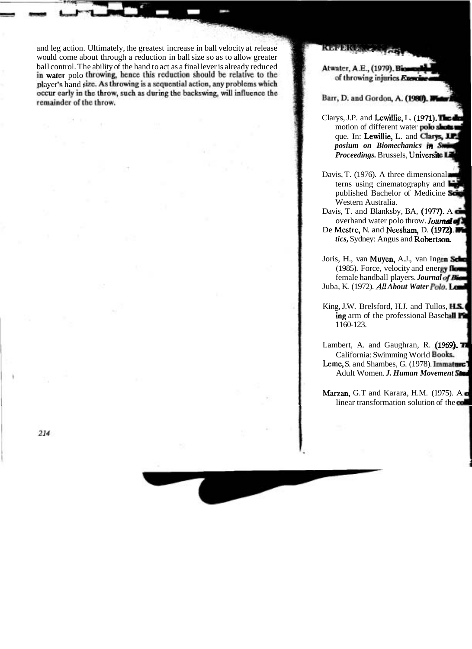and leg action. Ultimately, the greatest increase in ball velocity at release would come about through a reduction in ball size so as to allow greater ball control. The ability of the hand to act as a final lever is already reduced water polo ayer's hand si remainder of the throw.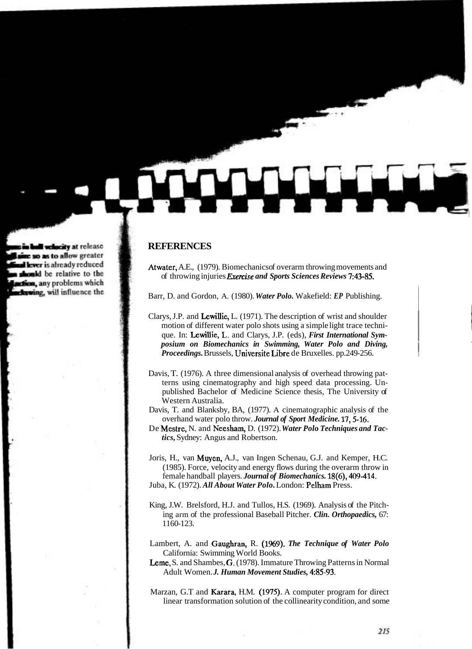# **REFERENCES**

Atwater, A.E., (1979). Biomechanics of overarm throwing movements and of throwing injuries *Exemise and Sports Sciences Reviews* 743-85.

Barr, D. and Gordon, A. (1980). *Water Polo.* Wakefield: *EP* Publishing.

- Clarys, J.P. and Lewillie, L. (1971). The description of wrist and shoulder motion of different water polo shots using a simple light trace technique. In: Lewillie, **L.** and Clarys, J.P. (eds), *First International Symposium on Biomechanics in Swimming, Water Polo and Diving, Proceedings.* Brussels, Universite Libre de Bruxelles. pp.249-256.
- Davis, T. (1976). A three dimensional analysis of overhead throwing patterns using cinematography and high speed data processing. Unpublished Bachelor of Medicine Science thesis, The University of Western Australia.
- Davis, T. and Blanksby, BA, (1977). A cinematographic analysis of the overhand water polo throw. *Journal of Sport Medicine*. 17, 5-16.
- De Mestre, N. and Neesham, D. (1972). *Water Polo Techniques and Tactics,* Sydney: Angus and Robertson.
- Joris, H., van Muyen, A.J., van Ingen Schenau, G.J. and Kemper, H.C. (1985). Force, velocity and energy flows during the overarm throw in female handball players. *Journal of Biomechanics.* 18(6), 409-414. Juba, K. (1972). *All About Water Polo.* London: Pelham Press.
- King, J.W. Brelsford, H.J. and Tullos, H.S. (1969). Analysis of the Pitching arm of the professional Baseball Pitcher. *Clin. Orthopaedics,* 67: 1160-123.
- Lambert, A. and Gaughran, R. (1969). *The Technique of Water Polo*  California: Swimming World Books.
- Leme, S. and Shambes, G. (1978). Immature Throwing Patterns in Normal Adult Women. *J. Human Movement Studies*, 4:85-93.
- Marzan, G.T and Karara, H.M. (1975). A computer program for direct linear transformation solution of the collinearity condition, and some